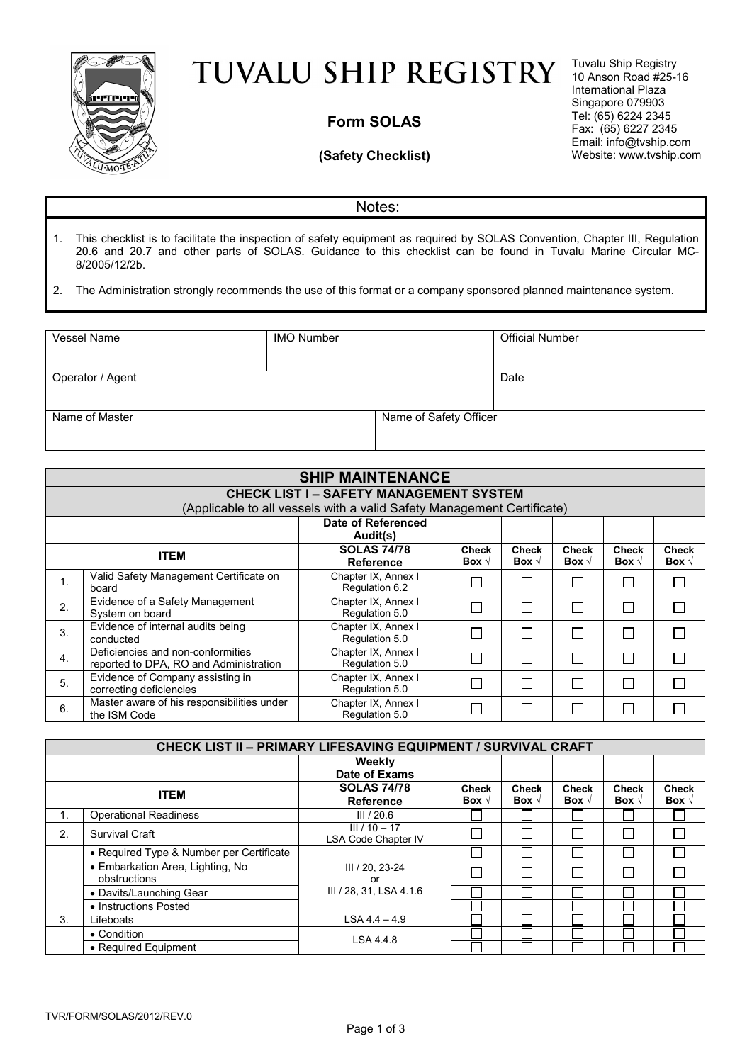

## TUVALU SHIP REGISTRY

## **Form SOLAS**

## **(Safety Checklist)**

Tuvalu Ship Registry 10 Anson Road #25-16 International Plaza Singapore 079903 Tel: (65) 6224 2345 Fax: (65) 6227 2345 Email: info@tvship.com Website: www.tvship.com

## Notes:

1. This checklist is to facilitate the inspection of safety equipment as required by SOLAS Convention, Chapter III, Regulation 20.6 and 20.7 and other parts of SOLAS. Guidance to this checklist can be found in Tuvalu Marine Circular MC-8/2005/12/2b.

2. The Administration strongly recommends the use of this format or a company sponsored planned maintenance system.

| Vessel Name      | <b>IMO Number</b> |                        | <b>Official Number</b> |
|------------------|-------------------|------------------------|------------------------|
|                  |                   |                        |                        |
|                  |                   |                        |                        |
|                  |                   |                        |                        |
| Operator / Agent |                   |                        | Date                   |
|                  |                   |                        |                        |
|                  |                   |                        |                        |
|                  |                   |                        |                        |
| Name of Master   |                   | Name of Safety Officer |                        |
|                  |                   |                        |                        |
|                  |                   |                        |                        |
|                  |                   |                        |                        |

|                  |                                                                             | <b>SHIP MAINTENANCE</b>                                                |                                |                                |                                |                                |                                |
|------------------|-----------------------------------------------------------------------------|------------------------------------------------------------------------|--------------------------------|--------------------------------|--------------------------------|--------------------------------|--------------------------------|
|                  |                                                                             | <b>CHECK LIST I - SAFETY MANAGEMENT SYSTEM</b>                         |                                |                                |                                |                                |                                |
|                  |                                                                             | (Applicable to all vessels with a valid Safety Management Certificate) |                                |                                |                                |                                |                                |
|                  |                                                                             | Date of Referenced                                                     |                                |                                |                                |                                |                                |
|                  |                                                                             | Audit(s)                                                               |                                |                                |                                |                                |                                |
|                  | <b>ITEM</b>                                                                 | <b>SOLAS 74/78</b><br><b>Reference</b>                                 | <b>Check</b><br>Box $\sqrt{ }$ | <b>Check</b><br>Box $\sqrt{ }$ | <b>Check</b><br>Box $\sqrt{ }$ | <b>Check</b><br>Box $\sqrt{ }$ | <b>Check</b><br>Box $\sqrt{ }$ |
| 1.               | Valid Safety Management Certificate on<br>board                             | Chapter IX, Annex I<br>Regulation 6.2                                  |                                |                                |                                |                                |                                |
| 2.               | Evidence of a Safety Management<br>System on board                          | Chapter IX, Annex I<br>Regulation 5.0                                  |                                |                                |                                | , I                            |                                |
| 3.               | Evidence of internal audits being<br>conducted                              | Chapter IX, Annex I<br>Regulation 5.0                                  |                                |                                |                                |                                |                                |
| $\overline{4}$ . | Deficiencies and non-conformities<br>reported to DPA, RO and Administration | Chapter IX, Annex I<br>Regulation 5.0                                  |                                |                                |                                |                                |                                |
| 5.               | Evidence of Company assisting in<br>correcting deficiencies                 | Chapter IX, Annex I<br>Regulation 5.0                                  |                                |                                |                                |                                |                                |
| 6.               | Master aware of his responsibilities under<br>the ISM Code                  | Chapter IX, Annex I<br>Regulation 5.0                                  |                                |                                |                                |                                |                                |

|    | CHECK LIST II - PRIMARY LIFESAVING EQUIPMENT / SURVIVAL CRAFT |                                               |                                |                                |                                |                                |                                |
|----|---------------------------------------------------------------|-----------------------------------------------|--------------------------------|--------------------------------|--------------------------------|--------------------------------|--------------------------------|
|    |                                                               | Weekly                                        |                                |                                |                                |                                |                                |
|    |                                                               | Date of Exams                                 |                                |                                |                                |                                |                                |
|    | <b>ITEM</b>                                                   | <b>SOLAS 74/78</b><br><b>Reference</b>        | <b>Check</b><br>Box $\sqrt{ }$ | <b>Check</b><br>Box $\sqrt{ }$ | <b>Check</b><br>Box $\sqrt{ }$ | <b>Check</b><br>Box $\sqrt{ }$ | <b>Check</b><br>Box $\sqrt{ }$ |
| ι. | <b>Operational Readiness</b>                                  | III/20.6                                      |                                |                                |                                |                                |                                |
| 2. | Survival Craft                                                | $III / 10 - 17$<br><b>LSA Code Chapter IV</b> |                                |                                |                                |                                |                                |
|    | • Required Type & Number per Certificate                      |                                               |                                |                                |                                |                                |                                |
|    | • Embarkation Area, Lighting, No<br>obstructions              | III / 20, 23-24<br>or                         |                                |                                |                                |                                |                                |
|    | • Davits/Launching Gear                                       | III / 28, 31, LSA 4.1.6                       |                                |                                |                                |                                |                                |
|    | • Instructions Posted                                         |                                               |                                |                                |                                |                                |                                |
| 3. | Lifeboats                                                     | $LSA 4.4 - 4.9$                               |                                |                                |                                |                                |                                |
|    | • Condition                                                   | LSA 4.4.8                                     |                                |                                |                                |                                |                                |
|    | • Required Equipment                                          |                                               |                                |                                |                                |                                |                                |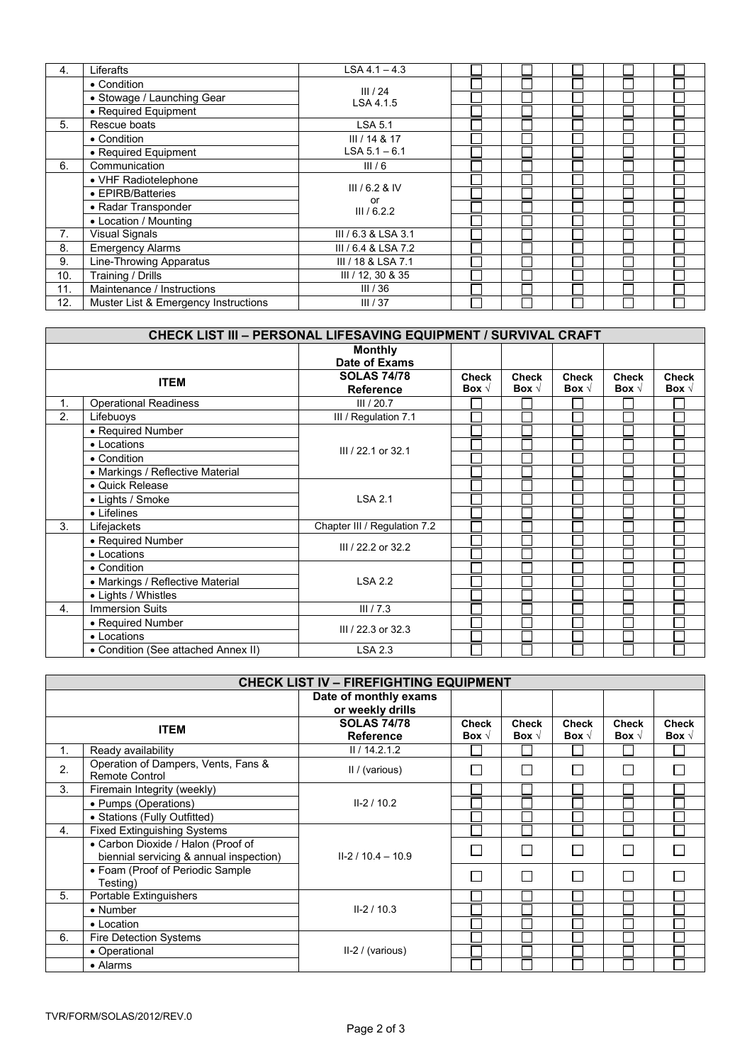| 4.  | Liferafts                            | $LSA 4.1 - 4.3$     |  |  |  |
|-----|--------------------------------------|---------------------|--|--|--|
|     | • Condition                          |                     |  |  |  |
|     | • Stowage / Launching Gear           | III/24<br>LSA 4.1.5 |  |  |  |
|     | • Required Equipment                 |                     |  |  |  |
| 5.  | Rescue boats                         | <b>LSA 5.1</b>      |  |  |  |
|     | • Condition                          | III / 14 & 17       |  |  |  |
|     | • Required Equipment                 | $LSA 5.1 - 6.1$     |  |  |  |
| 6.  | Communication                        | III/6               |  |  |  |
|     | • VHF Radiotelephone                 |                     |  |  |  |
|     | • EPIRB/Batteries                    | $III/6.2$ & IV      |  |  |  |
|     | • Radar Transponder                  | or<br>III/6.2.2     |  |  |  |
|     | • Location / Mounting                |                     |  |  |  |
| 7.  | <b>Visual Signals</b>                | III / 6.3 & LSA 3.1 |  |  |  |
| 8.  | <b>Emergency Alarms</b>              | III / 6.4 & LSA 7.2 |  |  |  |
| 9.  | Line-Throwing Apparatus              | III / 18 & LSA 7.1  |  |  |  |
| 10. | Training / Drills                    | III / 12, 30 & 35   |  |  |  |
| 11. | Maintenance / Instructions           | III/36              |  |  |  |
| 12. | Muster List & Emergency Instructions | III/37              |  |  |  |

|    | CHECK LIST III - PERSONAL LIFESAVING EQUIPMENT / SURVIVAL CRAFT |                                        |                                |                                |                                |                                |                                |
|----|-----------------------------------------------------------------|----------------------------------------|--------------------------------|--------------------------------|--------------------------------|--------------------------------|--------------------------------|
|    |                                                                 | <b>Monthly</b>                         |                                |                                |                                |                                |                                |
|    |                                                                 | Date of Exams                          |                                |                                |                                |                                |                                |
|    | <b>ITEM</b>                                                     | <b>SOLAS 74/78</b><br><b>Reference</b> | <b>Check</b><br>Box $\sqrt{ }$ | <b>Check</b><br>Box $\sqrt{ }$ | <b>Check</b><br>Box $\sqrt{ }$ | <b>Check</b><br>Box $\sqrt{ }$ | <b>Check</b><br>Box $\sqrt{ }$ |
| 1. | <b>Operational Readiness</b>                                    | III/20.7                               |                                |                                |                                |                                |                                |
| 2. | Lifebuoys                                                       | III / Regulation 7.1                   |                                |                                |                                |                                |                                |
|    | • Required Number                                               |                                        |                                |                                |                                |                                |                                |
|    | • Locations                                                     | III / 22.1 or 32.1                     |                                |                                |                                |                                |                                |
|    | • Condition                                                     |                                        |                                |                                |                                |                                |                                |
|    | • Markings / Reflective Material                                |                                        |                                |                                |                                |                                |                                |
|    | · Quick Release                                                 |                                        |                                |                                |                                |                                |                                |
|    | • Lights / Smoke                                                | <b>LSA 2.1</b>                         |                                |                                |                                |                                |                                |
|    | • Lifelines                                                     |                                        |                                |                                |                                |                                |                                |
| 3. | Lifejackets                                                     | Chapter III / Regulation 7.2           |                                |                                |                                |                                |                                |
|    | • Required Number                                               | III / 22.2 or 32.2                     |                                |                                |                                |                                |                                |
|    | • Locations                                                     |                                        |                                |                                |                                |                                |                                |
|    | • Condition                                                     |                                        |                                |                                |                                |                                |                                |
|    | • Markings / Reflective Material                                | <b>LSA 2.2</b>                         |                                |                                |                                |                                |                                |
|    | • Lights / Whistles                                             |                                        |                                |                                |                                |                                |                                |
| 4. | <b>Immersion Suits</b>                                          | III / 7.3                              |                                |                                |                                |                                |                                |
|    | • Required Number                                               | III / 22.3 or 32.3                     |                                |                                |                                |                                |                                |
|    | • Locations                                                     |                                        |                                |                                |                                |                                |                                |
|    | • Condition (See attached Annex II)                             | <b>LSA 2.3</b>                         |                                |                                |                                |                                |                                |

|    | <b>CHECK LIST IV - FIREFIGHTING EQUIPMENT</b>                                 |                                 |                                |                                |                                |                                |                                |
|----|-------------------------------------------------------------------------------|---------------------------------|--------------------------------|--------------------------------|--------------------------------|--------------------------------|--------------------------------|
|    | Date of monthly exams<br>or weekly drills                                     |                                 |                                |                                |                                |                                |                                |
|    | <b>ITEM</b>                                                                   | <b>SOLAS 74/78</b><br>Reference | <b>Check</b><br>Box $\sqrt{ }$ | <b>Check</b><br>Box $\sqrt{ }$ | <b>Check</b><br>Box $\sqrt{ }$ | <b>Check</b><br>Box $\sqrt{ }$ | <b>Check</b><br>Box $\sqrt{ }$ |
| 1. | Ready availability                                                            | II / 14.2.1.2                   |                                |                                |                                |                                |                                |
| 2. | Operation of Dampers, Vents, Fans &<br><b>Remote Control</b>                  | II / (various)                  |                                | Г                              | $\overline{\phantom{0}}$       | Г                              | $\Box$                         |
| 3. | Firemain Integrity (weekly)                                                   |                                 |                                |                                |                                |                                |                                |
|    | • Pumps (Operations)                                                          | $II - 2 / 10.2$                 |                                |                                |                                |                                |                                |
|    | • Stations (Fully Outfitted)                                                  |                                 |                                |                                |                                |                                |                                |
| 4. | <b>Fixed Extinguishing Systems</b>                                            |                                 |                                |                                |                                |                                |                                |
|    | • Carbon Dioxide / Halon (Proof of<br>biennial servicing & annual inspection) | $II - 2 / 10.4 - 10.9$          |                                |                                | $\mathbf{I}$                   | Г                              | П                              |
|    | • Foam (Proof of Periodic Sample<br>Testing)                                  |                                 |                                | I.                             | $\mathcal{L}$                  | П                              | П                              |
| 5. | Portable Extinguishers                                                        |                                 |                                |                                |                                |                                |                                |
|    | $\bullet$ Number                                                              | $II - 2 / 10.3$                 |                                |                                |                                |                                |                                |
|    | • Location                                                                    |                                 |                                |                                |                                |                                |                                |
| 6. | Fire Detection Systems                                                        |                                 |                                |                                |                                |                                |                                |
|    | • Operational                                                                 | II-2 / (various)                |                                |                                |                                |                                |                                |
|    | • Alarms                                                                      |                                 |                                |                                |                                |                                |                                |